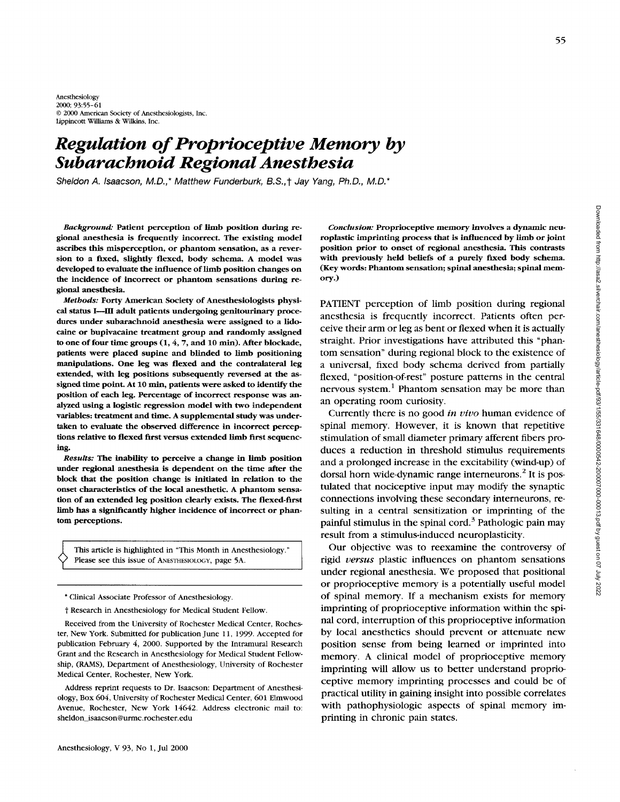Anesthesiology **2000; 93:55-61**  *0 2000* American Society of Anesthesiologists, Inc Lippincott Williams & **Wilkins,** Inc.

# *Regulation of Proprioceptive Memory by Subarachnoid Regional Anesthesia*

Sheldon A. Isaacson, M.D.,\* Matthew Funderburk, B.S.,† Jay Yang, Ph.D., M.D.\*

*Background:* Patient perception of limb position during regional anesthesia is frequently incorrect. The existing model ascribes this misperception, or phantom sensation, **as** a reversion to a fixed, slightly flexed, body schema. A model was developed to evaluate the influence of limb position changes **on**  the incidence of incorrect or phantom sensations during regional anesthesia.

*Methods:* **Forty** American Society of Anesthesiologists physical status **I-III** adult patients undergoing genitourinary procedures under subarachnoid anesthesia were assigned to a lidocaine or bupivacaine treatment group and randomly assigned to one of four time groups *(1,4,7,* and 10 min). After blockade, patients were placed supine and blinded to limb positioning manipulations. One leg was flexed and the contralateral leg extended, with leg positions subsequently reversed at the **as**signed time point. At 10 min, patients were asked to identify the position of each leg. Percentage of incorrect response was analyzed using a logistic regression model with **two** independent variables: treatment and time. A supplemental study was undertaken to evaluate the observed difference in incorrect percep**tions** relative to flexed first versus extended limb first sequencing.

*Results:* The inability to perceive a change in limb position under regional anesthesia is dependent on the time after the block that the position change is initiated in relation to the onset characteristics of the local anesthetic. A phantom sensation of an extended leg position clearly exists. The flexed-first limb has a significantly higher incidence of incorrect or phantom perceptions.

This article is highlighted in "This Month in Anesthesiology." Please see this issue of ANESTHESIOLOGY, page 5A.

\* Clinical Associate Professor of Anesthesiology.

*t* Research in Anesthesiology for Medical Student Fellow.

Received from the University of Rochester Medical Center, Roches ter, New York. Submitted for publication June *11,* 1999. Accepted for publication February *4, 2000.* Supported by the Intramural Research Grant and the Research in Anesthesiology for Medical Student Fellowship, (RAMS), Department of Anesthesiology, University of Rochester Medical Center, Rochester, New York.

Address reprint requests to Dr. Isaacson: Department of Anesthesiology, **Box** *604,* University of Rochester Medical Center, *601* Elmwood Avenue, Rochester, New York *14642.* Address electronic mail to: **Sheldon-isaacsonOurmc.rochester.edu** 

*Conclusion:* Proprioceptive memory involves a dynamic neuroplastic imprinting process that is influenced by limb or joint position prior to onset of regional anesthesia. This contrasts with previously held beliefs of a purely fixed body schema. (Key words: Phantom sensation; spinal anesthesia; spinal mem-*OW.)* 

PATIENT perception of limb position during regional anesthesia is frequently incorrect. Patients often perceive their arm or leg as bent or flexed when it is actually straight. Prior investigations have attributed this "phantom sensation" during regional block to the existence of a universal, fixed body schema derived from partially flexed, "position-of-rest" posture patterns in the central nervous system.<sup>1</sup> Phantom sensation may be more than an operating room curiosity.

Currently there is no good *in uiuo* human evidence of spinal memory. However, it is known that repetitive stimulation of small diameter primary afferent fibers produces a reduction in threshold stimulus requirements and a prolonged increase in the excitability (wind-up) of dorsal horn wide-dynamic range interneurons.' It is postulated that nociceptive input may modify the synaptic connections involving these secondary interneurons, resulting in a central sensitization or imprinting of the painful stimulus in the spinal cord. $3$  Pathologic pain may result from a stimulus-induced neuroplasticity.

Our objective was to reexamine the controversy of rigid *uersus* plastic influences on phantom sensations under regional anesthesia. We proposed that positional or proprioceptive memory is a potentially useful model of spinal memory. If a mechanism exists for memory imprinting of proprioceptive information within the spinal cord, interruption of this proprioceptive information by local anesthetics should prevent or attenuate new position sense from being learned or imprinted into memory. A clinical model of proprioceptive memory imprinting will allow us to better understand proprioceptive memory imprinting processes and could be of practical utility in gaining insight into possible correlates with pathophysiologic aspects of spinal memory imprinting in chronic pain states.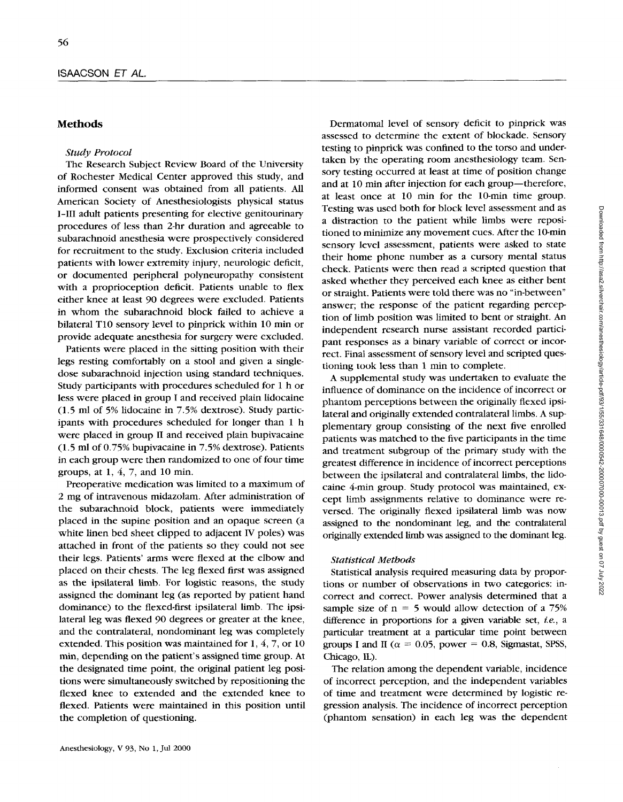## **Methods**

## *Study Protocol*

The Research Subject Review Board of the University of Rochester Medical Center approved this study, and informed consent was obtained from all patients. All American Society of Anesthesiologists physical status **1-111** adult patients presenting for elective genitourinary procedures of less than 2-hr duration and agreeable to subarachnoid anesthesia were prospectively considered for recruitment to the study. Exclusion criteria included patients with lower extremity injury, neurologic deficit, or documented peripheral polyneuropathy consistent with a proprioception deficit. Patients unable to flex either knee at least 90 degrees were excluded. Patients in whom the subarachnoid block failed to achieve a bilateral T10 sensory level to pinprick within 10 min or provide adequate anesthesia for surgery were excluded.

Patients were placed in the sitting position with their legs resting comfortably on a stool and given a singledose subarachnoid injection using standard techniques. Study participants with procedures scheduled for 1 h or less were placed in group **I** and received plain lidocaine (1.5 ml of 5% lidocaine in 7.5% dextrose). Study participants with procedures scheduled for longer than 1 h were placed in group **11** and received plain bupivacaine (1.5 ml of 0.75% bupivacaine in 7.5% dextrose). Patients in each group were then randomized to one of four time groups, at 1, *4,* 7, and 10 min.

Preoperative medication was limited to a maximum of 2 mg of intravenous midazolam. After administration of the subarachnoid block, patients were immediately placed in the supine position and an opaque screen (a white linen bed sheet clipped to adjacent **IV** poles) was attached in front of the patients so they could not see their legs. Patients' arms were flexed at the elbow and placed on their chests. The leg flexed first was assigned as the ipsilateral limb. For logistic reasons, the study assigned the dominant leg (as reported by patient hand dominance) to the flexed-first ipsilateral limb. The ipsilateral leg was flexed *90* degrees or greater at the knee, and the contralateral, nondominant leg was completely extended. This position was maintained for 1, *4, 7,* or 10 min, depending on the patient's assigned time group. At the designated time point, the original patient leg positions were simultaneously switched by repositioning the flexed knee to extended and the extended knee to flexed. Patients were maintained in this position until the completion of questioning.

Downloaded from http://asa2.silverchair.com/anesthesiology/article-pdf/93/1/55/331648/0000642-200007000-00013.pdf by guest on 07 July 2022 Downloaded from http://asa2.silverchair.com/anesthesiology/article-pdf/93/1/55/331648/0000542-200007000-00013.pdf by guest on 07 July 2022

Dermatomal level of sensory deficit to pinprick was assessed to determine the extent of blockade. Sensory testing to pinprick was confined to the torso and undertaken by the operating room anesthesiology team. Sensory testing occurred at least at time of position change and at 10 min after injection for each group—therefore, at least once at 10 min for the 10-min time group. Testing was used both for block level assessment and as a distraction to the patient while limbs were repositioned to minimize any movement cues. After the 10-min sensory level assessment, patients were asked to state their home phone number as a cursory mental status check. Patients were then read a scripted question that asked whether they perceived each knee as either bent or straight. Patients were told there was no "in-between'' answer; the response of the patient regarding perception of limb position was limited to bent or straight. An independent research nurse assistant recorded participant responses as a binary variable of correct or incorrect. Final assessment of sensory level and scripted questioning **took less** than **1** min to complete.

**A** supplemental study was undertaken to evaluate the influence of dominance on the incidence of incorrect or phantom perceptions between the originally flexed ipsilateral and originally extended contralateral limbs. **A** supplementary group consisting of the next five enrolled patients was matched to the five participants in the time and treatment subgroup of the primary study with the greatest difference in incidence of incorrect perceptions between the ipsilateral and contralateral limbs, the lidocaine 4-min group. Study protocol was maintained, except limb assignments relative to dominance were reversed. The originally flexed ipsilateral limb was now assigned to the nondominant leg, and the contralateral originally extended limb was assigned to the dominant leg.

#### *Statistical Methods*

Statistical analysis required measuring data by proportions or number of observations in two categories: incorrect and correct. Power analysis determined that a sample size of  $n = 5$  would allow detection of a 75% difference in proportions for a given variable set, *i.e.,* a particular treatment at a particular time point between groups I and II  $(\alpha = 0.05, \text{ power} = 0.8, \text{Sigmastat, SPSS})$ Chicago, **1L).** 

The relation among the dependent variable, incidence of incorrect perception, and the independent variables of time and treatment were determined by logistic regression analysis. The incidence of incorrect perception (phantom sensation) in each leg was the dependent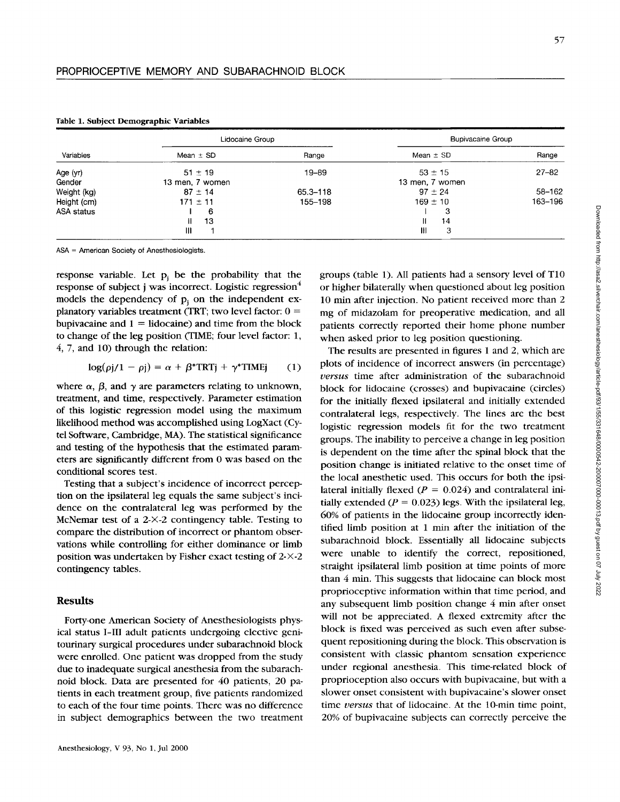| Variables   | Lidocaine Group |          | Bupivacaine Group |           |
|-------------|-----------------|----------|-------------------|-----------|
|             | Mean $\pm$ SD   | Range    | Mean $\pm$ SD     | Range     |
| Age (yr)    | $51 \pm 19$     | 19-89    | $53 \pm 15$       | $27 - 82$ |
| Gender      | 13 men, 7 women |          | 13 men, 7 women   |           |
| Weight (kg) | $87 \pm 14$     | 65.3-118 | $97 \pm 24$       | 58-162    |
| Height (cm) | $171 \pm 11$    | 155-198  | $169 \pm 10$      | 163-196   |
| ASA status  | 6               |          | 3                 |           |
|             | 13<br>Ш         |          | Ш<br>14           |           |
|             | Ш               |          | Ш<br>3            |           |

**Table 1. Subiect Demographic Variables** 

**ASA** = American Society of Anesthesiologists.

response variable. Let  $p_i$  be the probability that the response of subject j was incorrect. Logistic regression<sup>4</sup> models the dependency of  $p_i$  on the independent explanatory variables treatment (TRT; two level factor:  $0 =$ bupivacaine and  $1 =$  lidocaine) and time from the block to change of the leg position **(TIME;** four level factor: **1,**  *4, 7,* and 10) through the relation:

$$
log(\rho j/1 - \rho j) = \alpha + \beta^* TRTj + \gamma^* TIMEj \qquad (1)
$$

where  $\alpha$ ,  $\beta$ , and  $\gamma$  are parameters relating to unknown, treatment, and time, respectively. Parameter estimation of this logistic regression model using the maximum likelihood method was accomplished using LogXact (Cytel Software, Cambridge, MA). The statistical significance and testing of the hypothesis that the estimated parameters are significantly different from 0 was based on the conditional scores test.

Testing that a subject's incidence of incorrect perception on the ipsilateral leg equals the same subject's incidence on the contralateral leg was performed by the McNemar test of a *2-X-2* contingency table. Testing to compare the distribution of incorrect or phantom observations while controlling for either dominance or limb position was undertaken by Fisher exact testing of *2-X-2*  contingency tables.

## **Results**

Forty-one American Society of Anesthesiologists physical status 1-111 adult patients undergoing elective genitourinary surgical procedures under subarachnoid block were enrolled. One patient was dropped from the study due to inadequate surgical anesthesia from the subarachnoid block. Data are presented for *40* patients, *20* patients in each treatment group, five patients randomized to each of the four time points. There was no difference in subject demographics between the two treatment groups (table 1). All patients had a sensory level of T10 or higher bilaterally when questioned about leg position 10 min after injection. No patient received more than *2*  mg of midazolam for preoperative medication, and all patients correctly reported their home phone number when asked prior to leg position questioning.

The results are presented in figures 1 and *2,* which are plots of incidence of incorrect answers (in percentage) *versus* time after administration of the subarachnoid block for lidocaine (crosses) and bupivacaine (circles) for the initially flexed ipsilateral and initially extended contralateral legs, respectively. The lines are the best logistic regression models fit for the two treatment groups. The inability to perceive a change in leg position is dependent on the time after the spinal block that the position change is initiated relative to the onset time of the local anesthetic used. This occurs for both the ipsilateral initially flexed  $(P = 0.024)$  and contralateral initially extended  $(P = 0.023)$  legs. With the ipsilateral leg, *60%* of patients in the lidocaine group incorrectly identified limb position at 1 min after the initiation of the subarachnoid block. Essentially all lidocaine subjects were unable to identify the correct, repositioned, straight ipsilateral limb position at time points of more than *4* min. This suggests that lidocaine can block most proprioceptive information within that time period, and any subsequent limb position change *4* min after onset will not be appreciated. **A** flexed extremity after the block is fixed was perceived as such even after subsequent repositioning during the block. This observation is consistent with classic phantom sensation experience under regional anesthesia. This time-related block of proprioception also occurs with bupivacaine, but with a slower onset consistent with bupivacaine's slower onset time *versus* that of lidocaine. **At** the 10-min time point, 20% of bupivacaine subjects can correctly perceive the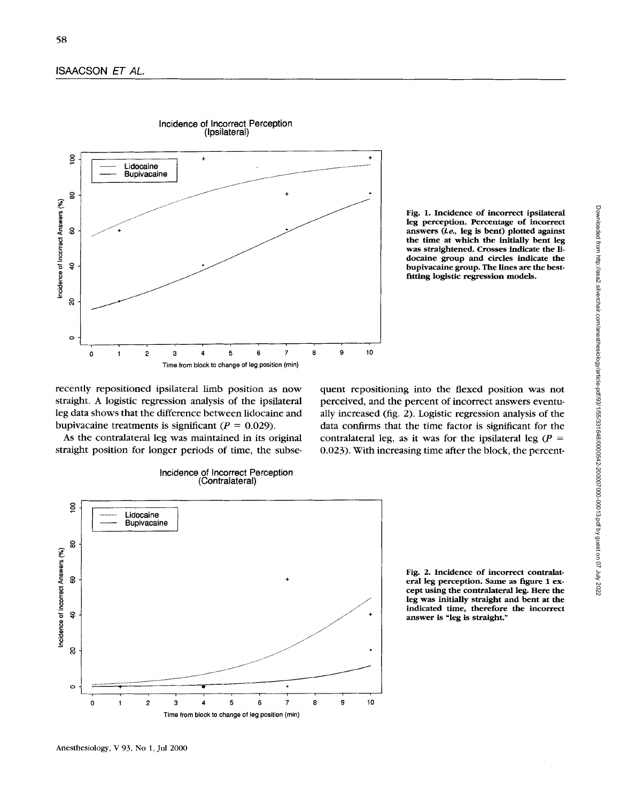

Fig. 1. Incidence of incorrect ipsilateral leg perception. Percentage of incorrect answers *(Le.,* leg is bent) plotted against the time at which the initially bent leg was straightened. Crosses indicate the **li**docaine group and circles indicate the bupivacaine group. The lines are the bestfitting logistic regression models.

recently repositioned ipsilateral limb position as now straight. A logistic regression analysis of the ipsilateral leg data shows that the difference between lidocaine and bupivacaine treatments is significant  $(P = 0.029)$ .

straight position for longer periods of time, the subse-

quent repositioning into the flexed position was not perceived, and the percent of incorrect answers eventually increased (fig. 2). Logistic regression analysis of the data confirms that the time factor is significant for the contralateral leg, as it was for the ipsilateral leg  $(P =$ 0.023). With increasing time after the block, the percent-

As the contralateral leg was maintained in its original



**Incidence of Incorrect Perception (Contralateral)** 

Fig. 2. Incidence **of** incorrect contralateral leg perception. Same **as** figure **1** except using the contralateral leg. Here the leg was initially straight and bent at the indicated time, therefore the incorrect answer is "leg is straight."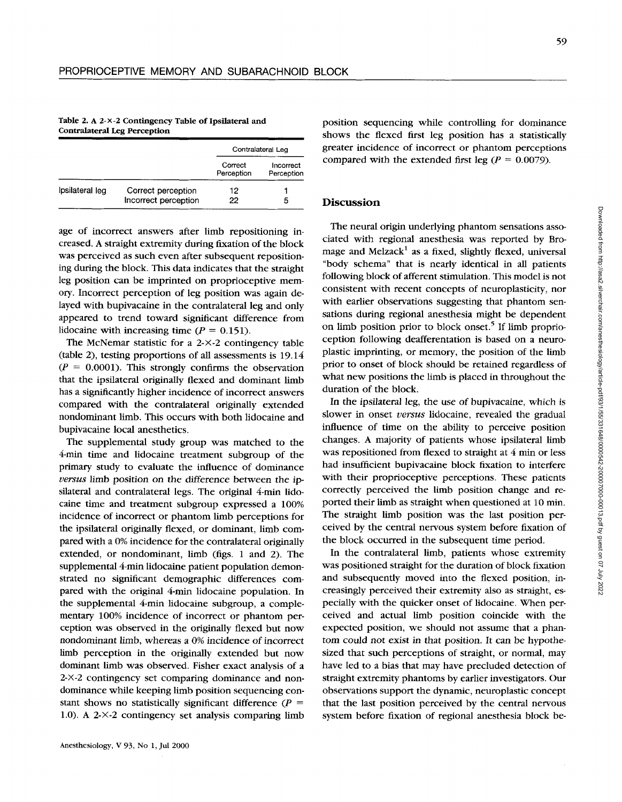**Table 2. A 2-X-2 Contingency Table of Ipsilateral and Contralateral Leg Perception** 

|                 |                      | Contralateral Leg     |                         |
|-----------------|----------------------|-----------------------|-------------------------|
|                 |                      | Correct<br>Perception | Incorrect<br>Perception |
| Ipsilateral leg | Correct perception   | 12                    |                         |
|                 | Incorrect perception | 22                    | b                       |

age of incorrect answers after limb repositioning increased. A straight extremity during fixation of the block was perceived as such even after subsequent repositioning during the block. This data indicates that the straight leg position can be imprinted on proprioceptive mem*ory.* Incorrect perception of leg position was again delayed with bupivacaine in the contralateral leg and only appeared to trend toward significant difference from lidocaine with increasing time  $(P = 0.151)$ .

The McNemar statistic for a **2-X-2** contingency table (table 2), testing proportions of all assessments is 19.14  $(P = 0.0001)$ . This strongly confirms the observation that the ipsilateral originally flexed and dominant limb has a significantly higher incidence of incorrect answers compared with the contralateral originally extended nondominant limb. This occurs with both lidocaine and bupivacaine local anesthetics.

The supplemental study group was matched to the 4-min time and lidocaine treatment subgroup of the primary study to evaluate the influence of dominance *versus* limb position on the difference between the ipsilateral and contralateral legs. The original 4-min lidocaine time and treatment subgroup expressed a 100% incidence of incorrect or phantom limb perceptions for the ipsilateral originally flexed, or dominant, limb compared with a 0% incidence for the contralateral originally extended, or nondominant, limb (figs. 1 and 2). The supplemental 4-min lidocaine patient population demonstrated no significant demographic differences compared with the original 4-min lidocaine population. In the supplemental 4-min lidocaine subgroup, a complementary 100% incidence of incorrect or phantom perception was observed in the originally flexed but now nondominant limb, whereas a 0% incidence of incorrect limb perception in the originally extended but now dominant limb was observed. Fisher exact analysis of a **2-X-2** contingency set comparing dominance and nondominance while keeping limb position sequencing constant shows no statistically significant difference  $(P =$ 1.0). A **2-X-2** contingency set analysis comparing limb

position sequencing while controlling for dominance shows the flexed first leg position has a statistically greater incidence of incorrect or phantom perceptions compared with the extended first leg  $(P = 0.0079)$ .

#### **Discussion**

The neural origin underlying phantom sensations associated with regional anesthesia was reported by Bromage and Melzack<sup>1</sup> as a fixed, slightly flexed, universal "body schema" that is nearly identical in all patients following block of afferent stimulation. This model is not consistent with recent concepts of neuroplasticity, nor with earlier observations suggesting that phantom sensations during regional anesthesia might be dependent on limb position prior to block onset.<sup>5</sup> If limb proprioception following deafferentation is based on a neuroplastic imprinting, or memory, the position of the limb prior to onset of block should be retained regardless of what new positions the limb is placed in throughout the duration of the block.

In the ipsilateral leg, the use of bupivacaine, which is slower in onset *versus* lidocaine, revealed the graduaI influence of time on the ability to perceive position changes. A majority of patients whose ipsilateral limb was repositioned from flexed to straight at 4 min or less had insufficient bupivacaine block fixation to interfere with their proprioceptive perceptions. These patients correctly perceived the limb position change and reported their limb as straight when questioned at 10 min. The straight limb position was the last position perceived by the central nervous system before fixation of the block occurred in the subsequent time period.

In the contralateral limb, patients whose extremity was positioned straight for the duration of block fixation and subsequently moved into the flexed position, increasingly perceived their extremity also as straight, especially with the quicker onset of lidocaine. When perceived and actual limb position coincide with the expected position, we should not assume that a phantom could not exist in that position. It can be hypothesized that such perceptions of straight, or normal, may have led to a bias that may have precluded detection of straight extremity phantoms by earlier investigators. Our observations support the dynamic, neuroplastic concept that the last position perceived by the central nervous system before fixation of regional anesthesia block be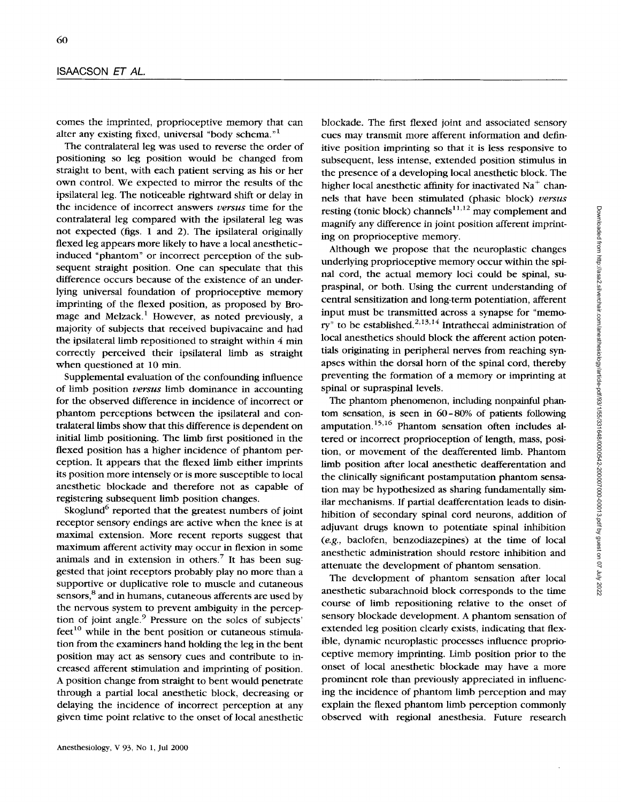comes the imprinted, proprioceptive memory that can alter any existing fixed, universal "body schema. "'

The contralateral leg was used to reverse the order of positioning *so* leg position would be changed from straight to bent, with each patient serving as his or her own control. We expected to mirror the results of the ipsilateral leg. The noticeable rightward shift or delay in the incidence of incorrect answers *versus* time for the contralateral leg compared with the ipsilateral leg was not expected (figs. 1 and 2). The ipsilateral originally flexed leg appears more likely to have a local anestheticinduced "phantom" or incorrect perception of the subsequent straight position. One can speculate that this difference occurs because of the existence of an underlying universal foundation of proprioceptive memory imprinting of the flexed position, as proposed by Bromage and Melzack.<sup>1</sup> However, as noted previously, a majority of subjects that received bupivacaine and had the ipsilateral limb repositioned to straight within 4 min correctly perceived their ipsilateral limb as straight when questioned at 10 min.

Supplemental evaluation of the confounding influence of limb position *versus* limb dominance in accounting for the observed difference in incidence of incorrect or phantom perceptions between the ipsilateral and contralateral limbs show that this difference is dependent on initial limb positioning. The limb first positioned in the flexed position has a higher incidence of phantom perception. It appears that the flexed limb either imprints its position more intensely or is more susceptible to local anesthetic blockade and therefore not as capable of registering subsequent limb position changes.

Skoglund' reported that the greatest numbers of joint receptor sensory endings are active when the knee is at maximal extension. More recent reports suggest that maximum afferent activity may occur in flexion in some animals and in extension in others.<sup>7</sup> It has been suggested that joint receptors probably play no more than a supportive or duplicative role to muscle and cutaneous sensors,<sup>8</sup> and in humans, cutaneous afferents are used by the nervous system to prevent ambiguity in the perception of joint angle.<sup>9</sup> Pressure on the soles of subjects'  $f$ eet<sup>10</sup> while in the bent position or cutaneous stimulation from the examiners hand holding the leg in the bent position may act as sensory cues and contribute to increased afferent stimulation and imprinting of position. A position change from straight to bent would penetrate through a partial local anesthetic block, decreasing or delaying the incidence of incorrect perception at any given time point relative to the onset of local anesthetic blockade. The first flexed joint and associated sensory cues may transmit more afferent information and definitive position imprinting *so* that it is less responsive to subsequent, less intense, extended position stimulus in the presence of a developing local anesthetic block. The higher local anesthetic affinity for inactivated  $Na<sup>+</sup>$  channels that have been stimulated (phasic block) *versus*  resting (tonic block) channels $^{11,12}$  may complement and magnify any difference in joint position afferent imprinting on proprioceptive memory.

Although we propose that the neuroplastic changes underlying proprioceptive memory occur within the spinal cord, the actual memory loci could be spinal, supraspinal, or both. Using the current understanding of central sensitization and long-term potentiation, afferent input must be transmitted across a synapse for "memory" to be established.<sup>2,13,14</sup> Intrathecal administration of local anesthetics should block the afferent action potentials originating in peripheral nerves from reaching synapses within the dorsal horn of the spinal cord, thereby preventing the formation of a memory or imprinting at spinal or supraspinal levels.

The phantom phenomenon, including nonpainful phantom sensation, is seen in *60-80%* of patients following amputation. $15,16$  Phantom sensation often includes altered or incorrect proprioception of length, mass, position, or movement of the deafferented limb. Phantom limb position after local anesthetic deafferentation and the clinically significant postamputation phantom sensation may be hypothesized as sharing fundamentally similar mechanisms. If partial deafferentation leads to disinhibition of secondary spinal cord neurons, addition of adjuvant drugs known to potentiate spinal inhibition *(e.g.,* baclofen, benzodiazepines) at the time of local anesthetic administration should restore inhibition and attenuate the development of phantom sensation.

The development of phantom sensation after local anesthetic subarachnoid block corresponds to the time course of limb repositioning relative to the onset of sensory blockade development. A phantom sensation of extended leg position clearly exists, indicating that flexible, dynamic neuroplastic processes influence proprioceptive memory imprinting. Limb position prior to the onset of local anesthetic blockade may have a more prominent role than previously appreciated in influencing the incidence of phantom limb perception and may explain the flexed phantom limb perception commonly observed with regional anesthesia. Future research